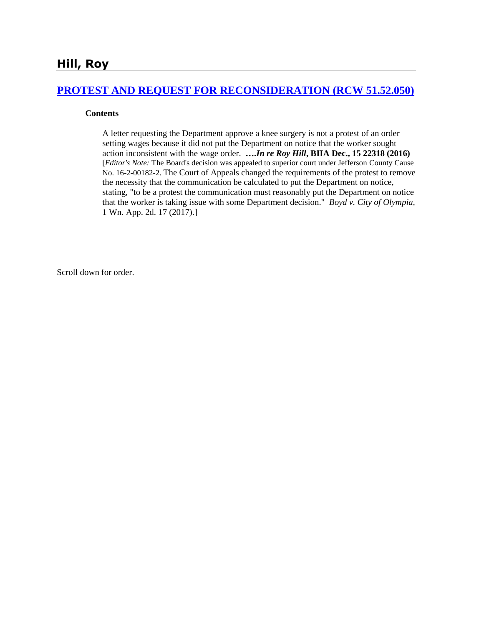# **[PROTEST AND REQUEST FOR RECONSIDERATION \(RCW 51.52.050\)](http://www.biia.wa.gov/SDSubjectIndex.html#PROTEST_AND_REQUEST_FOR_RECONSIDERATION)**

#### **Contents**

A letter requesting the Department approve a knee surgery is not a protest of an order setting wages because it did not put the Department on notice that the worker sought action inconsistent with the wage order. **….***In re Roy Hill***, BIIA Dec., 15 22318 (2016)**  [*Editor's Note:* The Board's decision was appealed to superior court under Jefferson County Cause No. 16-2-00182-2. The Court of Appeals changed the requirements of the protest to remove the necessity that the communication be calculated to put the Department on notice, stating, "to be a protest the communication must reasonably put the Department on notice that the worker is taking issue with some Department decision." *Boyd v. City of Olympia,* 1 Wn. App. 2d. 17 (2017).]

Scroll down for order.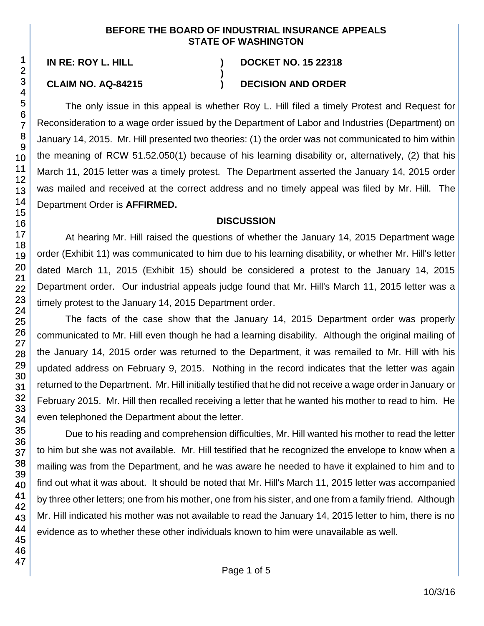#### **BEFORE THE BOARD OF INDUSTRIAL INSURANCE APPEALS STATE OF WASHINGTON**

**)**

### **IN RE: ROY L. HILL ) DOCKET NO. 15 22318**

#### **CLAIM NO. AQ-84215 ) DECISION AND ORDER**

The only issue in this appeal is whether Roy L. Hill filed a timely Protest and Request for Reconsideration to a wage order issued by the Department of Labor and Industries (Department) on January 14, 2015. Mr. Hill presented two theories: (1) the order was not communicated to him within the meaning of RCW 51.52.050(1) because of his learning disability or, alternatively, (2) that his March 11, 2015 letter was a timely protest. The Department asserted the January 14, 2015 order was mailed and received at the correct address and no timely appeal was filed by Mr. Hill. The Department Order is **AFFIRMED.**

### **DISCUSSION**

At hearing Mr. Hill raised the questions of whether the January 14, 2015 Department wage order (Exhibit 11) was communicated to him due to his learning disability, or whether Mr. Hill's letter dated March 11, 2015 (Exhibit 15) should be considered a protest to the January 14, 2015 Department order. Our industrial appeals judge found that Mr. Hill's March 11, 2015 letter was a timely protest to the January 14, 2015 Department order.

The facts of the case show that the January 14, 2015 Department order was properly communicated to Mr. Hill even though he had a learning disability. Although the original mailing of the January 14, 2015 order was returned to the Department, it was remailed to Mr. Hill with his updated address on February 9, 2015. Nothing in the record indicates that the letter was again returned to the Department. Mr. Hill initially testified that he did not receive a wage order in January or February 2015. Mr. Hill then recalled receiving a letter that he wanted his mother to read to him. He even telephoned the Department about the letter.

Due to his reading and comprehension difficulties, Mr. Hill wanted his mother to read the letter to him but she was not available. Mr. Hill testified that he recognized the envelope to know when a mailing was from the Department, and he was aware he needed to have it explained to him and to find out what it was about. It should be noted that Mr. Hill's March 11, 2015 letter was accompanied by three other letters; one from his mother, one from his sister, and one from a family friend. Although Mr. Hill indicated his mother was not available to read the January 14, 2015 letter to him, there is no evidence as to whether these other individuals known to him were unavailable as well.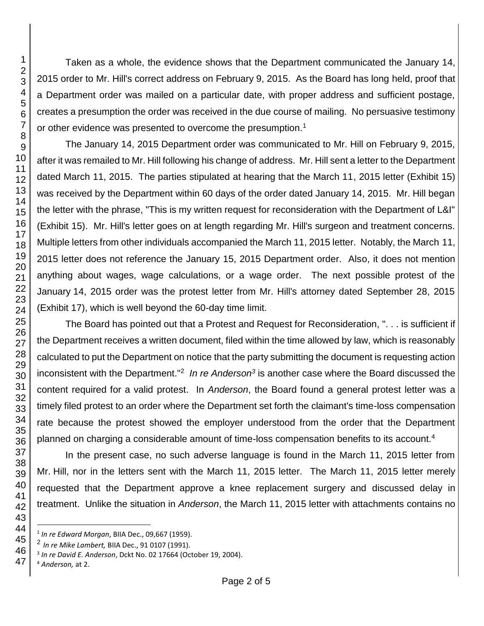Taken as a whole, the evidence shows that the Department communicated the January 14, 2015 order to Mr. Hill's correct address on February 9, 2015. As the Board has long held, proof that a Department order was mailed on a particular date, with proper address and sufficient postage, creates a presumption the order was received in the due course of mailing. No persuasive testimony or other evidence was presented to overcome the presumption.<sup>1</sup>

The January 14, 2015 Department order was communicated to Mr. Hill on February 9, 2015, after it was remailed to Mr. Hill following his change of address. Mr. Hill sent a letter to the Department dated March 11, 2015. The parties stipulated at hearing that the March 11, 2015 letter (Exhibit 15) was received by the Department within 60 days of the order dated January 14, 2015. Mr. Hill began the letter with the phrase, "This is my written request for reconsideration with the Department of L&I" (Exhibit 15). Mr. Hill's letter goes on at length regarding Mr. Hill's surgeon and treatment concerns. Multiple letters from other individuals accompanied the March 11, 2015 letter. Notably, the March 11, 2015 letter does not reference the January 15, 2015 Department order. Also, it does not mention anything about wages, wage calculations, or a wage order. The next possible protest of the January 14, 2015 order was the protest letter from Mr. Hill's attorney dated September 28, 2015 (Exhibit 17), which is well beyond the 60-day time limit.

The Board has pointed out that a Protest and Request for Reconsideration, ". . . is sufficient if the Department receives a written document, filed within the time allowed by law, which is reasonably calculated to put the Department on notice that the party submitting the document is requesting action inconsistent with the Department."<sup>2</sup> *In re Anderson<sup>3</sup>* is another case where the Board discussed the content required for a valid protest. In *Anderson*, the Board found a general protest letter was a timely filed protest to an order where the Department set forth the claimant's time-loss compensation rate because the protest showed the employer understood from the order that the Department planned on charging a considerable amount of time-loss compensation benefits to its account.<sup>4</sup>

In the present case, no such adverse language is found in the March 11, 2015 letter from Mr. Hill, nor in the letters sent with the March 11, 2015 letter. The March 11, 2015 letter merely requested that the Department approve a knee replacement surgery and discussed delay in treatment. Unlike the situation in *Anderson*, the March 11, 2015 letter with attachments contains no

l

*In re Edward Morgan*, BIIA Dec., 09,667 (1959).

*In re Mike Lambert,* BIIA Dec., 91 0107 (1991).

*In re David E. Anderson*, Dckt No. 02 17664 (October 19, 2004).

*Anderson,* at 2.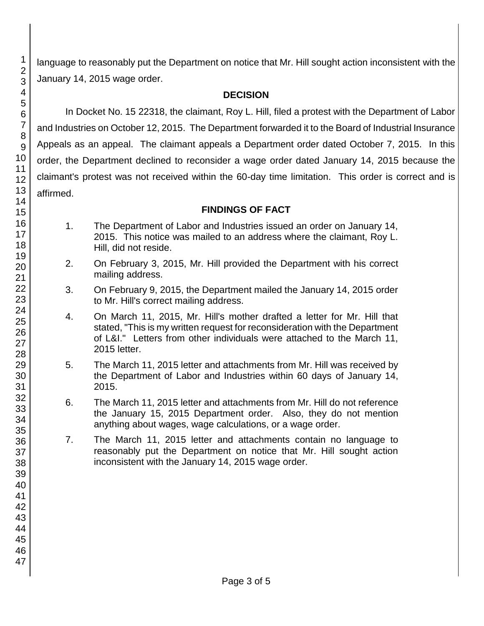language to reasonably put the Department on notice that Mr. Hill sought action inconsistent with the January 14, 2015 wage order.

# **DECISION**

In Docket No. 15 22318, the claimant, Roy L. Hill, filed a protest with the Department of Labor and Industries on October 12, 2015. The Department forwarded it to the Board of Industrial Insurance Appeals as an appeal. The claimant appeals a Department order dated October 7, 2015. In this order, the Department declined to reconsider a wage order dated January 14, 2015 because the claimant's protest was not received within the 60-day time limitation. This order is correct and is affirmed.

# **FINDINGS OF FACT**

- 1. The Department of Labor and Industries issued an order on January 14, 2015. This notice was mailed to an address where the claimant, Roy L. Hill, did not reside.
- 2. On February 3, 2015, Mr. Hill provided the Department with his correct mailing address.
- 3. On February 9, 2015, the Department mailed the January 14, 2015 order to Mr. Hill's correct mailing address.
- 4. On March 11, 2015, Mr. Hill's mother drafted a letter for Mr. Hill that stated, "This is my written request for reconsideration with the Department of L&I." Letters from other individuals were attached to the March 11, 2015 letter.
- 5. The March 11, 2015 letter and attachments from Mr. Hill was received by the Department of Labor and Industries within 60 days of January 14, 2015.
- 6. The March 11, 2015 letter and attachments from Mr. Hill do not reference the January 15, 2015 Department order. Also, they do not mention anything about wages, wage calculations, or a wage order.
- 7. The March 11, 2015 letter and attachments contain no language to reasonably put the Department on notice that Mr. Hill sought action inconsistent with the January 14, 2015 wage order.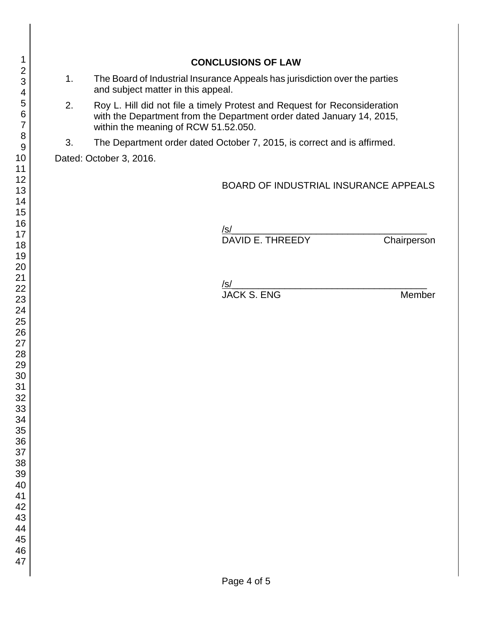|    |                                                                                                                                                                                            | <b>CONCLUSIONS OF LAW</b>                    |             |
|----|--------------------------------------------------------------------------------------------------------------------------------------------------------------------------------------------|----------------------------------------------|-------------|
| 1. | The Board of Industrial Insurance Appeals has jurisdiction over the parties<br>and subject matter in this appeal.                                                                          |                                              |             |
| 2. | Roy L. Hill did not file a timely Protest and Request for Reconsideration<br>with the Department from the Department order dated January 14, 2015,<br>within the meaning of RCW 51.52.050. |                                              |             |
| 3. | The Department order dated October 7, 2015, is correct and is affirmed.                                                                                                                    |                                              |             |
|    | Dated: October 3, 2016.                                                                                                                                                                    |                                              |             |
|    |                                                                                                                                                                                            | <b>BOARD OF INDUSTRIAL INSURANCE APPEALS</b> |             |
|    |                                                                                                                                                                                            | <u>/s/</u><br>DAVID E. THREEDY               | Chairperson |
|    |                                                                                                                                                                                            |                                              |             |
|    |                                                                                                                                                                                            |                                              |             |
|    |                                                                                                                                                                                            | <u>/s/</u><br>JACK S. ENG                    | Member      |
|    |                                                                                                                                                                                            |                                              |             |
|    |                                                                                                                                                                                            |                                              |             |
|    |                                                                                                                                                                                            |                                              |             |
|    |                                                                                                                                                                                            |                                              |             |
|    |                                                                                                                                                                                            |                                              |             |
|    |                                                                                                                                                                                            |                                              |             |
|    |                                                                                                                                                                                            |                                              |             |
|    |                                                                                                                                                                                            |                                              |             |
|    |                                                                                                                                                                                            |                                              |             |
|    |                                                                                                                                                                                            |                                              |             |
|    |                                                                                                                                                                                            |                                              |             |
|    |                                                                                                                                                                                            |                                              |             |
|    |                                                                                                                                                                                            |                                              |             |
|    |                                                                                                                                                                                            |                                              |             |
|    |                                                                                                                                                                                            |                                              |             |